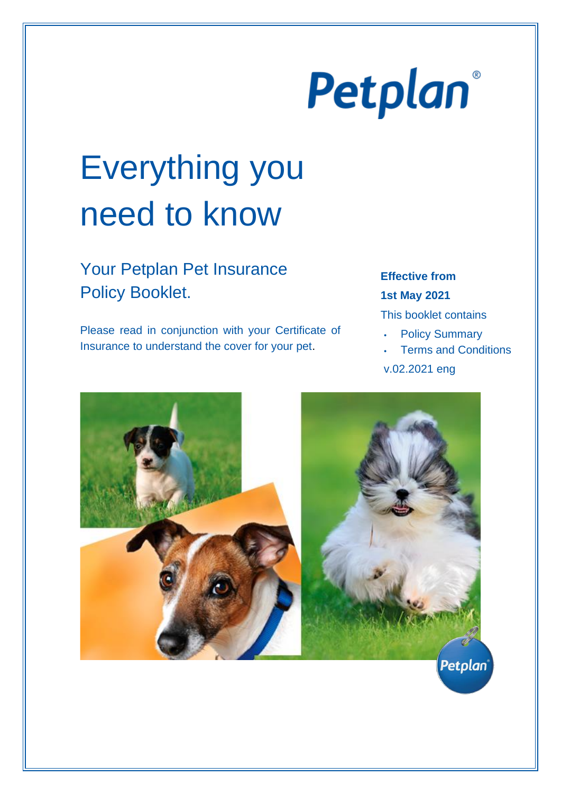# Petplan®

# Everything you need to know

# Your Petplan Pet Insurance Policy Booklet.

Please read in conjunction with your Certificate of Insurance to understand the cover for your pet.

# **Effective from 1st May 2021**

This booklet contains

- **Policy Summary**
- **Terms and Conditions**

v.02.2021 eng

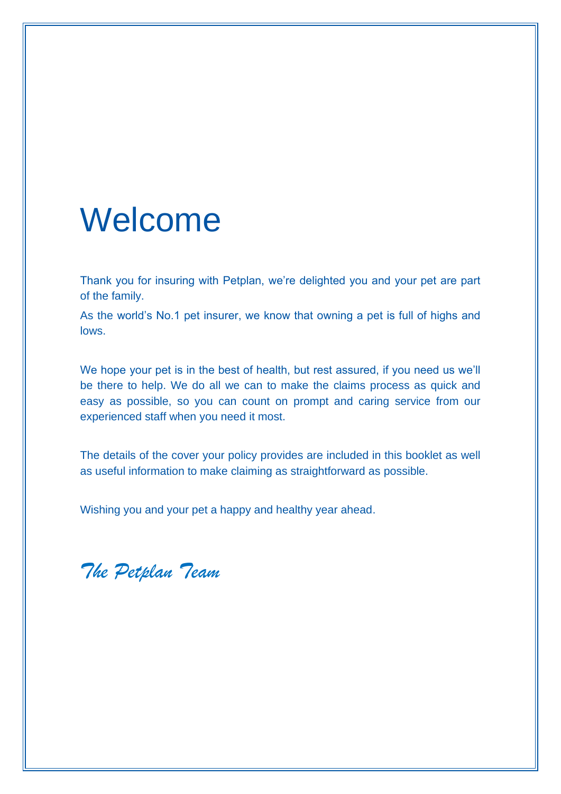# Welcome

Thank you for insuring with Petplan, we're delighted you and your pet are part of the family.

As the world's No.1 pet insurer, we know that owning a pet is full of highs and lows.

We hope your pet is in the best of health, but rest assured, if you need us we'll be there to help. We do all we can to make the claims process as quick and easy as possible, so you can count on prompt and caring service from our experienced staff when you need it most.

The details of the cover your policy provides are included in this booklet as well as useful information to make claiming as straightforward as possible.

Wishing you and your pet a happy and healthy year ahead.

*The Petplan Team*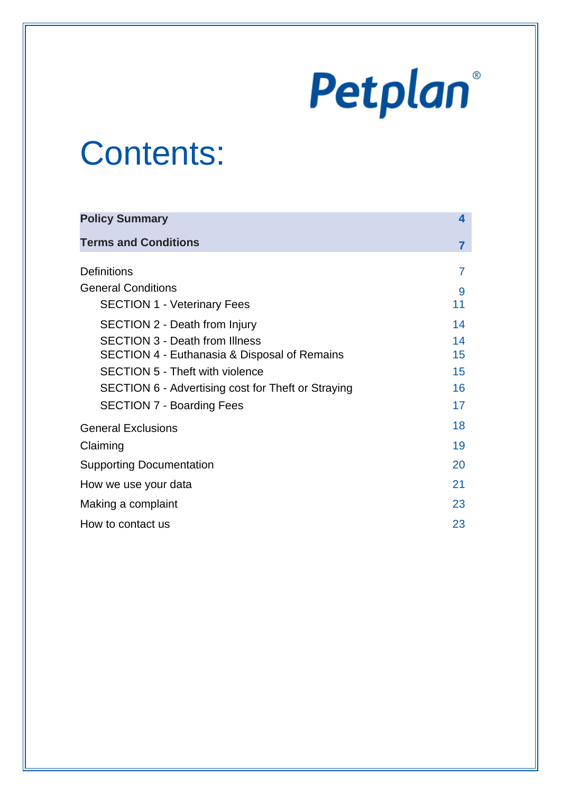# Petplan®

# Contents:

| <b>Policy Summary</b>                              |                |
|----------------------------------------------------|----------------|
| <b>Terms and Conditions</b>                        | $\overline{7}$ |
| <b>Definitions</b>                                 |                |
| <b>General Conditions</b>                          | 9              |
| <b>SECTION 1 - Veterinary Fees</b>                 | 11             |
| <b>SECTION 2 - Death from Injury</b>               | 14             |
| <b>SECTION 3 - Death from Illness</b>              | 14             |
| SECTION 4 - Euthanasia & Disposal of Remains       | 15             |
| <b>SECTION 5 - Theft with violence</b>             | 15             |
| SECTION 6 - Advertising cost for Theft or Straying | 16             |
| <b>SECTION 7 - Boarding Fees</b>                   | 17             |
| <b>General Exclusions</b>                          | 18             |
| Claiming                                           |                |
| <b>Supporting Documentation</b>                    |                |
| How we use your data                               | 21             |
| Making a complaint                                 | 23             |
| How to contact us                                  | 23             |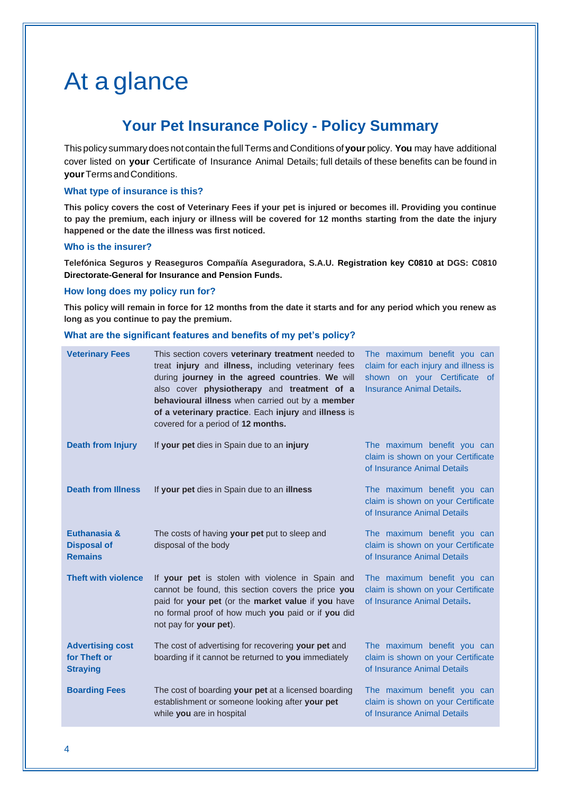# At a glance

# **Your Pet Insurance Policy - Policy Summary**

This policy summary does not contain the fullTerms and Conditions of **your** policy. **You** may have additional cover listed on **your** Certificate of Insurance Animal Details; full details of these benefits can be found in **your**Terms andConditions.

#### **What type of insurance is this?**

**This policy covers the cost of Veterinary Fees if your pet is injured or becomes ill. Providing you continue to pay the premium, each injury or illness will be covered for 12 months starting from the date the injury happened or the date the illness was first noticed.**

#### **Who is the insurer?**

**Telefónica Seguros y Reaseguros Compañía Aseguradora, S.A.U. Registration key C0810 at DGS: C0810 Directorate-General for Insurance and Pension Funds.**

#### **How long does my policy run for?**

**This policy will remain in force for 12 months from the date it starts and for any period which you renew as long as you continue to pay the premium.**

#### **What are the significant features and benefits of my pet's policy?**

| <b>Veterinary Fees</b>                                     | This section covers veterinary treatment needed to<br>treat injury and illness, including veterinary fees<br>during journey in the agreed countries. We will<br>also cover physiotherapy and treatment of a<br>behavioural illness when carried out by a member<br>of a veterinary practice. Each injury and illness is<br>covered for a period of 12 months. | The maximum benefit you can<br>claim for each injury and illness is<br>shown on your Certificate of<br><b>Insurance Animal Details.</b> |
|------------------------------------------------------------|---------------------------------------------------------------------------------------------------------------------------------------------------------------------------------------------------------------------------------------------------------------------------------------------------------------------------------------------------------------|-----------------------------------------------------------------------------------------------------------------------------------------|
| <b>Death from Injury</b>                                   | If your pet dies in Spain due to an injury                                                                                                                                                                                                                                                                                                                    | The maximum benefit you can<br>claim is shown on your Certificate<br>of Insurance Animal Details                                        |
| <b>Death from Illness</b>                                  | If your pet dies in Spain due to an illness                                                                                                                                                                                                                                                                                                                   | The maximum benefit you can<br>claim is shown on your Certificate<br>of Insurance Animal Details                                        |
| Euthanasia &<br><b>Disposal of</b><br><b>Remains</b>       | The costs of having your pet put to sleep and<br>disposal of the body                                                                                                                                                                                                                                                                                         | The maximum benefit you can<br>claim is shown on your Certificate<br>of Insurance Animal Details                                        |
| <b>Theft with violence</b>                                 | If your pet is stolen with violence in Spain and<br>cannot be found, this section covers the price you<br>paid for your pet (or the market value if you have<br>no formal proof of how much you paid or if you did<br>not pay for your pet).                                                                                                                  | The maximum benefit you can<br>claim is shown on your Certificate<br>of Insurance Animal Details.                                       |
| <b>Advertising cost</b><br>for Theft or<br><b>Straying</b> | The cost of advertising for recovering your pet and<br>boarding if it cannot be returned to you immediately                                                                                                                                                                                                                                                   | The maximum benefit you can<br>claim is shown on your Certificate<br>of Insurance Animal Details                                        |
| <b>Boarding Fees</b>                                       | The cost of boarding your pet at a licensed boarding<br>establishment or someone looking after your pet<br>while you are in hospital                                                                                                                                                                                                                          | The maximum benefit you can<br>claim is shown on your Certificate<br>of Insurance Animal Details                                        |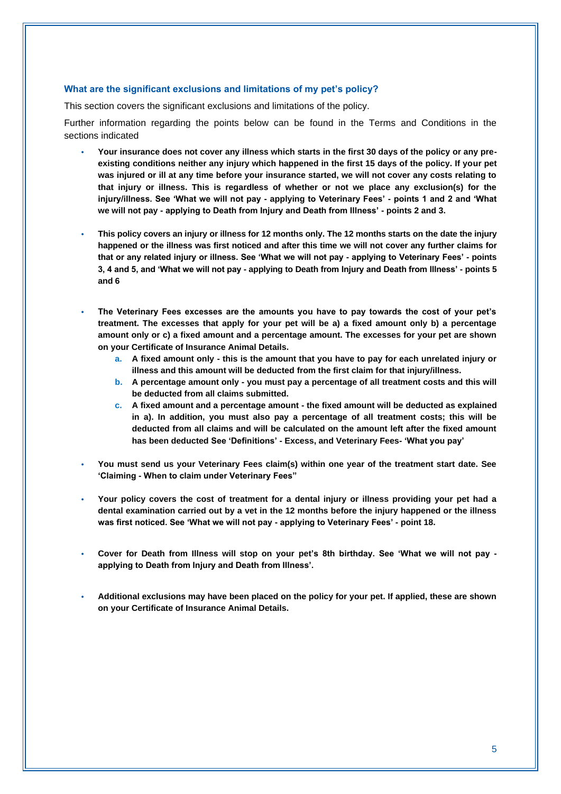#### **What are the significant exclusions and limitations of my pet's policy?**

This section covers the significant exclusions and limitations of the policy.

Further information regarding the points below can be found in the Terms and Conditions in the sections indicated

- **Your insurance does not cover any illness which starts in the first 30 days of the policy or any preexisting conditions neither any injury which happened in the first 15 days of the policy. If your pet was injured or ill at any time before your insurance started, we will not cover any costs relating to that injury or illness. This is regardless of whether or not we place any exclusion(s) for the injury/illness. See 'What we will not pay - applying to Veterinary Fees' - points 1 and 2 and 'What we will not pay - applying to Death from Injury and Death from Illness' - points 2 and 3.**
- **This policy covers an injury or illness for 12 months only. The 12 months starts on the date the injury happened or the illness was first noticed and after this time we will not cover any further claims for that or any related injury or illness. See 'What we will not pay - applying to Veterinary Fees' - points 3, 4 and 5, and 'What we will not pay - applying to Death from Injury and Death from Illness' - points 5 and 6**
- **The Veterinary Fees excesses are the amounts you have to pay towards the cost of your pet's treatment. The excesses that apply for your pet will be a) a fixed amount only b) a percentage amount only or c) a fixed amount and a percentage amount. The excesses for your pet are shown on your Certificate of Insurance Animal Details.**
	- **a. A fixed amount only - this is the amount that you have to pay for each unrelated injury or illness and this amount will be deducted from the first claim for that injury/illness.**
	- **b. A percentage amount only - you must pay a percentage of all treatment costs and this will be deducted from all claims submitted.**
	- **c. A fixed amount and a percentage amount - the fixed amount will be deducted as explained in a). In addition, you must also pay a percentage of all treatment costs; this will be deducted from all claims and will be calculated on the amount left after the fixed amount has been deducted See 'Definitions' - Excess, and Veterinary Fees- 'What you pay'**
- **You must send us your Veterinary Fees claim(s) within one year of the treatment start date. See 'Claiming - When to claim under Veterinary Fees"**
- **Your policy covers the cost of treatment for a dental injury or illness providing your pet had a dental examination carried out by a vet in the 12 months before the injury happened or the illness was first noticed. See 'What we will not pay - applying to Veterinary Fees' - point 18.**
- **Cover for Death from Illness will stop on your pet's 8th birthday. See 'What we will not pay applying to Death from Injury and Death from Illness'.**
- **Additional exclusions may have been placed on the policy for your pet. If applied, these are shown on your Certificate of Insurance Animal Details.**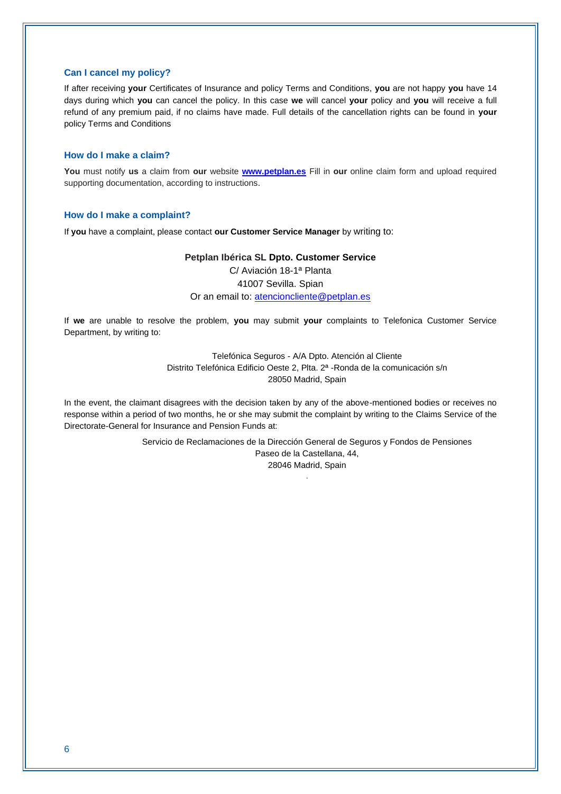#### **Can I cancel my policy?**

If after receiving **your** Certificates of Insurance and policy Terms and Conditions, **you** are not happy **you** have 14 days during which **you** can cancel the policy. In this case **we** will cancel **your** policy and **you** will receive a full refund of any premium paid, if no claims have made. Full details of the cancellation rights can be found in **your** policy Terms and Conditions

#### **How do I make a claim?**

**You** must notify **us** a claim from **our** website **[www.petplan.es](http://www.petplan.es/)** Fill in **our** online claim form and upload required supporting documentation, according to instructions.

#### **How do I make a complaint?**

If **you** have a complaint, please contact **our Customer Service Manager** by writing to:

#### **Petplan Ibérica SL Dpto. Customer Service**

C/ Aviación 18-1ª Planta 41007 Sevilla. Spian Or an email to: [atencioncliente@petplan.es](mailto:atencioncliente@petplan.es)

If **we** are unable to resolve the problem, **you** may submit **your** complaints to Telefonica Customer Service Department, by writing to:

> Telefónica Seguros - A/A Dpto. Atención al Cliente Distrito Telefónica Edificio Oeste 2, Plta. 2ª -Ronda de la comunicación s/n 28050 Madrid, Spain

In the event, the claimant disagrees with the decision taken by any of the above-mentioned bodies or receives no response within a period of two months, he or she may submit the complaint by writing to the Claims Service of the Directorate-General for Insurance and Pension Funds at:

> Servicio de Reclamaciones de la Dirección General de Seguros y Fondos de Pensiones Paseo de la Castellana, 44, 28046 Madrid, Spain

> > .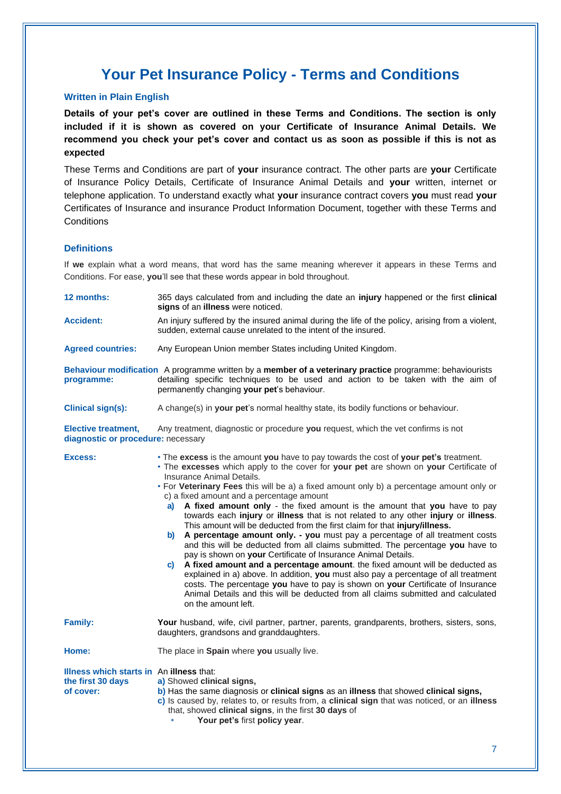# **Your Pet Insurance Policy - Terms and Conditions**

#### **Written in Plain English**

**Details of your pet's cover are outlined in these Terms and Conditions. The section is only included if it is shown as covered on your Certificate of Insurance Animal Details. We recommend you check your pet's cover and contact us as soon as possible if this is not as expected**

These Terms and Conditions are part of **your** insurance contract. The other parts are **your** Certificate of Insurance Policy Details, Certificate of Insurance Animal Details and **your** written, internet or telephone application. To understand exactly what **your** insurance contract covers **you** must read **your** Certificates of Insurance and insurance Product Information Document, together with these Terms and **Conditions** 

#### **Definitions**

If **we** explain what a word means, that word has the same meaning wherever it appears in these Terms and Conditions. For ease, **you**'ll see that these words appear in bold throughout.

| 12 months:                                                                 | 365 days calculated from and including the date an injury happened or the first clinical<br>signs of an illness were noticed.                                                                                                                                                                                                                                                                                                                                                                                                                                                                                                                                                                                                                                                                                                                                                                                                                                                                                                                                                                                                                                                                                              |  |
|----------------------------------------------------------------------------|----------------------------------------------------------------------------------------------------------------------------------------------------------------------------------------------------------------------------------------------------------------------------------------------------------------------------------------------------------------------------------------------------------------------------------------------------------------------------------------------------------------------------------------------------------------------------------------------------------------------------------------------------------------------------------------------------------------------------------------------------------------------------------------------------------------------------------------------------------------------------------------------------------------------------------------------------------------------------------------------------------------------------------------------------------------------------------------------------------------------------------------------------------------------------------------------------------------------------|--|
| <b>Accident:</b>                                                           | An injury suffered by the insured animal during the life of the policy, arising from a violent,<br>sudden, external cause unrelated to the intent of the insured.                                                                                                                                                                                                                                                                                                                                                                                                                                                                                                                                                                                                                                                                                                                                                                                                                                                                                                                                                                                                                                                          |  |
| <b>Agreed countries:</b>                                                   | Any European Union member States including United Kingdom.                                                                                                                                                                                                                                                                                                                                                                                                                                                                                                                                                                                                                                                                                                                                                                                                                                                                                                                                                                                                                                                                                                                                                                 |  |
| programme:                                                                 | Behaviour modification A programme written by a member of a veterinary practice programme: behaviourists<br>detailing specific techniques to be used and action to be taken with the aim of<br>permanently changing your pet's behaviour.                                                                                                                                                                                                                                                                                                                                                                                                                                                                                                                                                                                                                                                                                                                                                                                                                                                                                                                                                                                  |  |
| <b>Clinical sign(s):</b>                                                   | A change(s) in your pet's normal healthy state, its bodily functions or behaviour.                                                                                                                                                                                                                                                                                                                                                                                                                                                                                                                                                                                                                                                                                                                                                                                                                                                                                                                                                                                                                                                                                                                                         |  |
| <b>Elective treatment,</b><br>diagnostic or procedure: necessary           | Any treatment, diagnostic or procedure you request, which the vet confirms is not                                                                                                                                                                                                                                                                                                                                                                                                                                                                                                                                                                                                                                                                                                                                                                                                                                                                                                                                                                                                                                                                                                                                          |  |
| Excess:                                                                    | • The excess is the amount you have to pay towards the cost of your pet's treatment.<br>. The excesses which apply to the cover for your pet are shown on your Certificate of<br>Insurance Animal Details.<br>• For Veterinary Fees this will be a) a fixed amount only b) a percentage amount only or<br>c) a fixed amount and a percentage amount<br>a) A fixed amount only - the fixed amount is the amount that you have to pay<br>towards each injury or illness that is not related to any other injury or illness.<br>This amount will be deducted from the first claim for that injury/illness.<br>b) A percentage amount only. - you must pay a percentage of all treatment costs<br>and this will be deducted from all claims submitted. The percentage you have to<br>pay is shown on your Certificate of Insurance Animal Details.<br>A fixed amount and a percentage amount. the fixed amount will be deducted as<br>c)<br>explained in a) above. In addition, you must also pay a percentage of all treatment<br>costs. The percentage you have to pay is shown on your Certificate of Insurance<br>Animal Details and this will be deducted from all claims submitted and calculated<br>on the amount left. |  |
| <b>Family:</b>                                                             | Your husband, wife, civil partner, partner, parents, grandparents, brothers, sisters, sons,<br>daughters, grandsons and granddaughters.                                                                                                                                                                                                                                                                                                                                                                                                                                                                                                                                                                                                                                                                                                                                                                                                                                                                                                                                                                                                                                                                                    |  |
| Home:                                                                      | The place in Spain where you usually live.                                                                                                                                                                                                                                                                                                                                                                                                                                                                                                                                                                                                                                                                                                                                                                                                                                                                                                                                                                                                                                                                                                                                                                                 |  |
| Illness which starts in An illness that:<br>the first 30 days<br>of cover: | a) Showed clinical signs,<br>b) Has the same diagnosis or clinical signs as an illness that showed clinical signs,<br>c) Is caused by, relates to, or results from, a clinical sign that was noticed, or an illness<br>that, showed clinical signs, in the first 30 days of<br>Your pet's first policy year.                                                                                                                                                                                                                                                                                                                                                                                                                                                                                                                                                                                                                                                                                                                                                                                                                                                                                                               |  |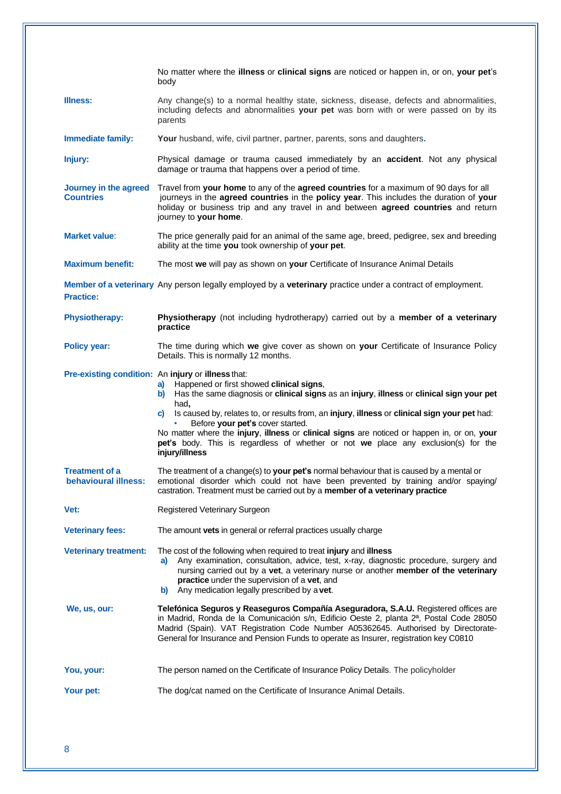|                                           | No matter where the illness or clinical signs are noticed or happen in, or on, your pet's<br>body                                                                                                                                                                                                                                                                                                                                                                                                                                                      |
|-------------------------------------------|--------------------------------------------------------------------------------------------------------------------------------------------------------------------------------------------------------------------------------------------------------------------------------------------------------------------------------------------------------------------------------------------------------------------------------------------------------------------------------------------------------------------------------------------------------|
| <b>Illness:</b>                           | Any change(s) to a normal healthy state, sickness, disease, defects and abnormalities,<br>including defects and abnormalities your pet was born with or were passed on by its<br>parents                                                                                                                                                                                                                                                                                                                                                               |
| Immediate family:                         | Your husband, wife, civil partner, partner, parents, sons and daughters.                                                                                                                                                                                                                                                                                                                                                                                                                                                                               |
| Injury:                                   | Physical damage or trauma caused immediately by an accident. Not any physical<br>damage or trauma that happens over a period of time.                                                                                                                                                                                                                                                                                                                                                                                                                  |
| Journey in the agreed<br><b>Countries</b> | Travel from your home to any of the agreed countries for a maximum of 90 days for all<br>journeys in the agreed countries in the policy year. This includes the duration of your<br>holiday or business trip and any travel in and between agreed countries and return<br>journey to your home.                                                                                                                                                                                                                                                        |
| <b>Market value:</b>                      | The price generally paid for an animal of the same age, breed, pedigree, sex and breeding<br>ability at the time you took ownership of your pet.                                                                                                                                                                                                                                                                                                                                                                                                       |
| <b>Maximum benefit:</b>                   | The most we will pay as shown on your Certificate of Insurance Animal Details                                                                                                                                                                                                                                                                                                                                                                                                                                                                          |
| <b>Practice:</b>                          | Member of a veterinary Any person legally employed by a veterinary practice under a contract of employment.                                                                                                                                                                                                                                                                                                                                                                                                                                            |
| <b>Physiotherapy:</b>                     | Physiotherapy (not including hydrotherapy) carried out by a member of a veterinary<br>practice                                                                                                                                                                                                                                                                                                                                                                                                                                                         |
| <b>Policy year:</b>                       | The time during which we give cover as shown on your Certificate of Insurance Policy<br>Details. This is normally 12 months.                                                                                                                                                                                                                                                                                                                                                                                                                           |
|                                           | Pre-existing condition: An injury or illness that:<br>a) Happened or first showed clinical signs,<br>b) Has the same diagnosis or clinical signs as an injury, illness or clinical sign your pet<br>had,<br>c) Is caused by, relates to, or results from, an injury, illness or clinical sign your pet had:<br>Before your pet's cover started.<br>No matter where the injury, illness or clinical signs are noticed or happen in, or on, your<br>pet's body. This is regardless of whether or not we place any exclusion(s) for the<br>injury/illness |
| Treatment of a<br>behavioural illness:    | The treatment of a change(s) to your pet's normal behaviour that is caused by a mental or<br>emotional disorder which could not have been prevented by training and/or spaying/<br>castration. Treatment must be carried out by a member of a veterinary practice                                                                                                                                                                                                                                                                                      |
| Vet:                                      | Registered Veterinary Surgeon                                                                                                                                                                                                                                                                                                                                                                                                                                                                                                                          |
| <b>Veterinary fees:</b>                   | The amount vets in general or referral practices usually charge                                                                                                                                                                                                                                                                                                                                                                                                                                                                                        |
| <b>Veterinary treatment:</b>              | The cost of the following when required to treat injury and illness<br>Any examination, consultation, advice, test, x-ray, diagnostic procedure, surgery and<br>a)<br>nursing carried out by a vet, a veterinary nurse or another member of the veterinary<br>practice under the supervision of a vet, and<br>Any medication legally prescribed by a vet.<br>b)                                                                                                                                                                                        |
| We, us, our:                              | Telefónica Seguros y Reaseguros Compañía Aseguradora, S.A.U. Registered offices are<br>in Madrid, Ronda de la Comunicación s/n, Edificio Oeste 2, planta 2ª, Postal Code 28050<br>Madrid (Spain). VAT Registration Code Number A05362645. Authorised by Directorate-<br>General for Insurance and Pension Funds to operate as Insurer, registration key C0810                                                                                                                                                                                          |
| You, your:                                | The person named on the Certificate of Insurance Policy Details. The policyholder                                                                                                                                                                                                                                                                                                                                                                                                                                                                      |
| Your pet:                                 | The dog/cat named on the Certificate of Insurance Animal Details.                                                                                                                                                                                                                                                                                                                                                                                                                                                                                      |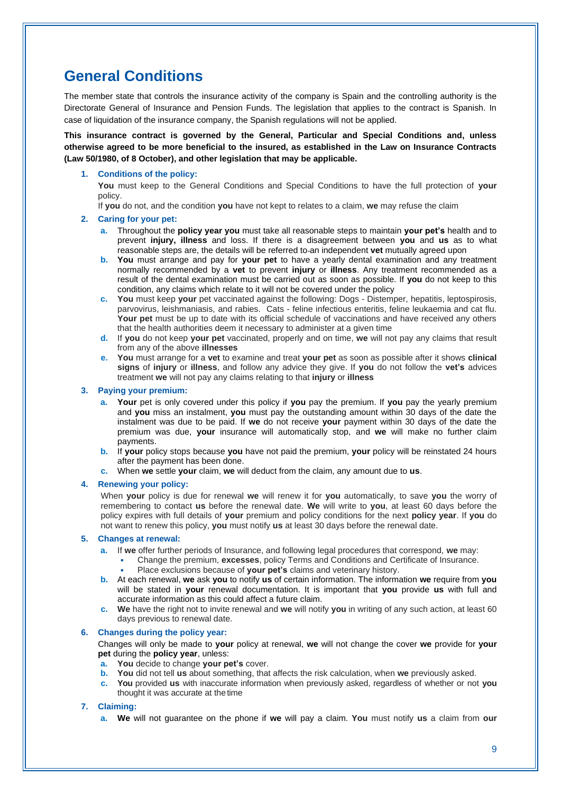# **General Conditions**

The member state that controls the insurance activity of the company is Spain and the controlling authority is the Directorate General of Insurance and Pension Funds. The legislation that applies to the contract is Spanish. In case of liquidation of the insurance company, the Spanish regulations will not be applied.

**This insurance contract is governed by the General, Particular and Special Conditions and, unless otherwise agreed to be more beneficial to the insured, as established in the Law on Insurance Contracts (Law 50/1980, of 8 October), and other legislation that may be applicable.**

#### **1. Conditions of the policy:**

**You** must keep to the General Conditions and Special Conditions to have the full protection of **your** policy.

If **you** do not, and the condition **you** have not kept to relates to a claim, **we** may refuse the claim

#### **2. Caring for your pet:**

- **a.** Throughout the **policy year you** must take all reasonable steps to maintain **your pet's** health and to prevent **injury, illness** and loss. If there is a disagreement between **you** and **us** as to what reasonable steps are, the details will be referred to an independent **vet** mutually agreed upon
- **b. You** must arrange and pay for **your pet** to have a yearly dental examination and any treatment normally recommended by a **vet** to prevent **injury** or **illness**. Any treatment recommended as a result of the dental examination must be carried out as soon as possible. If **you** do not keep to this condition, any claims which relate to it will not be covered under the policy
- **c. You** must keep **your** pet vaccinated against the following: Dogs Distemper, hepatitis, leptospirosis, parvovirus, leishmaniasis, and rabies. Cats - feline infectious enteritis, feline leukaemia and cat flu. **Your pet** must be up to date with its official schedule of vaccinations and have received any others that the health authorities deem it necessary to administer at a given time
- **d.** If **you** do not keep **your pet** vaccinated, properly and on time, **we** will not pay any claims that result from any of the above **illnesses**
- **e. You** must arrange for a **vet** to examine and treat **your pet** as soon as possible after it shows **clinical signs** of **injury** or **illness**, and follow any advice they give. If **you** do not follow the **vet's** advices treatment **we** will not pay any claims relating to that **injury** or **illness**

#### **3. Paying your premium:**

- **a. Your** pet is only covered under this policy if **you** pay the premium. If **you** pay the yearly premium and **you** miss an instalment, **you** must pay the outstanding amount within 30 days of the date the instalment was due to be paid. If **we** do not receive **your** payment within 30 days of the date the premium was due, **your** insurance will automatically stop, and **we** will make no further claim payments.
- **b.** If **your** policy stops because **you** have not paid the premium, **your** policy will be reinstated 24 hours after the payment has been done.
- **c.** When **we** settle **your** claim, **we** will deduct from the claim, any amount due to **us**.

#### **4. Renewing your policy:**

When **your** policy is due for renewal **we** will renew it for **you** automatically, to save **you** the worry of remembering to contact **us** before the renewal date. **We** will write to **you**, at least 60 days before the policy expires with full details of **your** premium and policy conditions for the next **policy year**. If **you** do not want to renew this policy, **you** must notify **us** at least 30 days before the renewal date.

#### **5. Changes at renewal:**

- **a.** If **we** offer further periods of Insurance, and following legal procedures that correspond, **we** may:
	- **•** Change the premium, **excesses**, policy Terms and Conditions and Certificate of Insurance.
		- **•** Place exclusions because of **your pet's** claims and veterinary history.
- **b.** At each renewal, **we** ask **you** to notify **us** of certain information. The information **we** require from **you** will be stated in **your** renewal documentation. It is important that **you** provide **us** with full and accurate information as this could affect a future claim.
- **c. We** have the right not to invite renewal and **we** will notify **you** in writing of any such action, at least 60 days previous to renewal date.

#### **6. Changes during the policy year:**

Changes will only be made to **your** policy at renewal, **we** will not change the cover **we** provide for **your pet** during the **policy year**, unless:

- **a. You** decide to change **your pet's** cover.
- **b. You** did not tell **us** about something, that affects the risk calculation, when **we** previously asked.
- **c. You** provided **us** with inaccurate information when previously asked, regardless of whether or not **you**  thought it was accurate at thetime

#### **7. Claiming:**

**a. We** will not guarantee on the phone if **we** will pay a claim. **You** must notify **us** a claim from **our**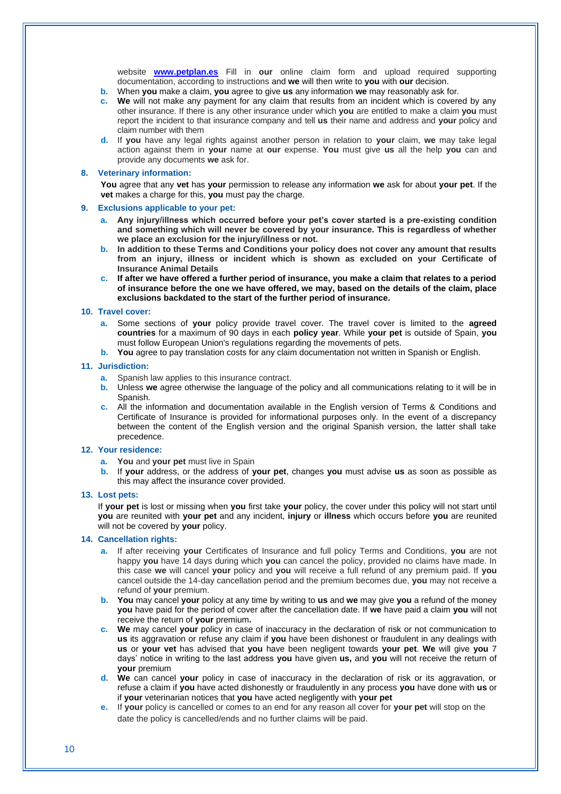website **[www.petplan.es](http://www.petplan.es/)** Fill in **our** online claim form and upload required supporting documentation, according to instructions and **we** will then write to **you** with **our** decision.

- **b.** When **you** make a claim, **you** agree to give **us** any information **we** may reasonably ask for.
- **c. We** will not make any payment for any claim that results from an incident which is covered by any other insurance. If there is any other insurance under which **you** are entitled to make a claim **you** must report the incident to that insurance company and tell **us** their name and address and **your** policy and claim number with them
- **d.** If **you** have any legal rights against another person in relation to **your** claim, **we** may take legal action against them in **your** name at **our** expense. **You** must give **us** all the help **you** can and provide any documents **we** ask for.

#### **8. Veterinary information:**

**You** agree that any **vet** has **your** permission to release any information **we** ask for about **your pet**. If the **vet** makes a charge for this, **you** must pay the charge.

#### **9. Exclusions applicable to your pet:**

- **a. Any injury/illness which occurred before your pet's cover started is a pre-existing condition and something which will never be covered by your insurance. This is regardless of whether we place an exclusion for the injury/illness or not.**
- **b. In addition to these Terms and Conditions your policy does not cover any amount that results from an injury, illness or incident which is shown as excluded on your Certificate of Insurance Animal Details**
- **c. If after we have offered a further period of insurance, you make a claim that relates to a period of insurance before the one we have offered, we may, based on the details of the claim, place exclusions backdated to the start of the further period of insurance.**

#### **10. Travel cover:**

- **a.** Some sections of **your** policy provide travel cover. The travel cover is limited to the **agreed countries** for a maximum of 90 days in each **policy year**. While **your pet** is outside of Spain, **you**  must follow European Union's regulations regarding the movements of pets.
- **b. You** agree to pay translation costs for any claim documentation not written in Spanish or English.

#### **11. Jurisdiction:**

- **a.** Spanish law applies to this insurance contract.
- **b.** Unless **we** agree otherwise the language of the policy and all communications relating to it will be in Spanish.
- **c.** All the information and documentation available in the English version of Terms & Conditions and Certificate of Insurance is provided for informational purposes only. In the event of a discrepancy between the content of the English version and the original Spanish version, the latter shall take precedence.

#### **12. Your residence:**

- **a. You** and **your pet** must live in Spain
- **b.** If **your** address, or the address of **your pet**, changes **you** must advise **us** as soon as possible as this may affect the insurance cover provided.

#### **13. Lost pets:**

If **your pet** is lost or missing when **you** first take **your** policy, the cover under this policy will not start until **you** are reunited with **your pet** and any incident, **injury** or **illness** which occurs before **you** are reunited will not be covered by **your** policy.

#### **14. Cancellation rights:**

- **a.** If after receiving **your** Certificates of Insurance and full policy Terms and Conditions, **you** are not happy **you** have 14 days during which **you** can cancel the policy, provided no claims have made. In this case **we** will cancel **your** policy and **you** will receive a full refund of any premium paid. If **you** cancel outside the 14-day cancellation period and the premium becomes due, **you** may not receive a refund of **your** premium.
- **b. You** may cancel **your** policy at any time by writing to **us** and **we** may give **you** a refund of the money **you** have paid for the period of cover after the cancellation date. If **we** have paid a claim **you** will not receive the return of **your** premium**.**
- **c. We** may cancel **your** policy in case of inaccuracy in the declaration of risk or not communication to **us** its aggravation or refuse any claim if **you** have been dishonest or fraudulent in any dealings with **us** or **your vet** has advised that **you** have been negligent towards **your pet**. **We** will give **you** 7 days' notice in writing to the last address **you** have given **us,** and **you** will not receive the return of **your** premium
- **d.** We can cancel your policy in case of inaccuracy in the declaration of risk or its aggravation. or refuse a claim if **you** have acted dishonestly or fraudulently in any process **you** have done with **us** or if **your** veterinarian notices that **you** have acted negligently with **your pet**
- **e.** If **your** policy is cancelled or comes to an end for any reason all cover for **your pet** will stop on the date the policy is cancelled/ends and no further claims will be paid.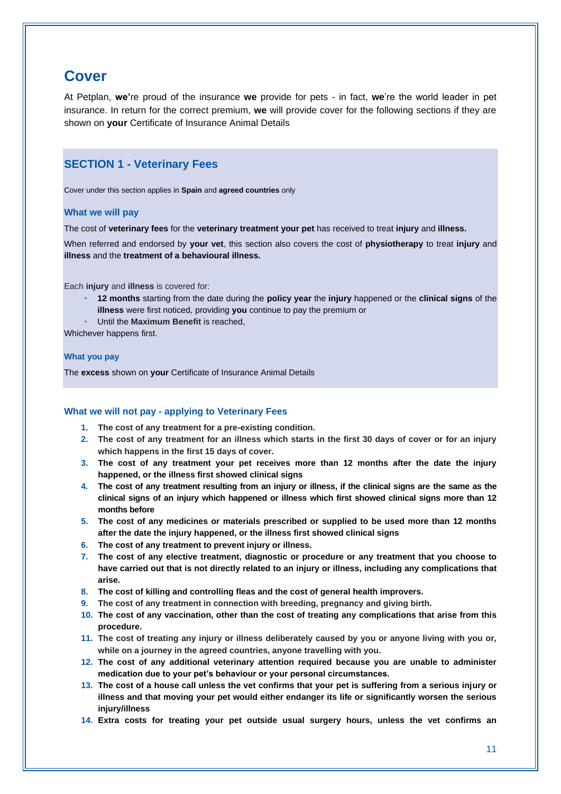## **Cover**

At Petplan, **we'**re proud of the insurance **we** provide for pets - in fact, **we**'re the world leader in pet insurance. In return for the correct premium, **we** will provide cover for the following sections if they are shown on **your** Certificate of Insurance Animal Details

### **SECTION 1 - Veterinary Fees**

Cover under this section applies in **Spain** and **agreed countries** only

#### **What we will pay**

The cost of **veterinary fees** for the **veterinary treatment your pet** has received to treat **injury** and **illness.**

When referred and endorsed by **your vet**, this section also covers the cost of **physiotherapy** to treat **injury** and **illness** and the **treatment of a behavioural illness.**

Each **injury** and **illness** is covered for:

- **12 months** starting from the date during the **policy year** the **injury** happened or the **clinical signs** of the **illness** were first noticed, providing **you** continue to pay the premium or
- Until the **Maximum Benefit** is reached,

Whichever happens first.

#### **What you pay**

The **excess** shown on **your** Certificate of Insurance Animal Details

#### **What we will not pay - applying to Veterinary Fees**

- **1. The cost of any treatment for a pre-existing condition.**
- **2. The cost of any treatment for an illness which starts in the first 30 days of cover or for an injury which happens in the first 15 days of cover.**
- **3. The cost of any treatment your pet receives more than 12 months after the date the injury happened, or the illness first showed clinical signs**
- **4. The cost of any treatment resulting from an injury or illness, if the clinical signs are the same as the clinical signs of an injury which happened or illness which first showed clinical signs more than 12 months before**
- **5. The cost of any medicines or materials prescribed or supplied to be used more than 12 months after the date the injury happened, or the illness first showed clinical signs**
- **6. The cost of any treatment to prevent injury or illness.**
- **7. The cost of any elective treatment, diagnostic or procedure or any treatment that you choose to have carried out that is not directly related to an injury or illness, including any complications that arise.**
- **8. The cost of killing and controlling fleas and the cost of general health improvers.**
- **9. The cost of any treatment in connection with breeding, pregnancy and giving birth.**
- **10. The cost of any vaccination, other than the cost of treating any complications that arise from this procedure.**
- **11. The cost of treating any injury or illness deliberately caused by you or anyone living with you or, while on a journey in the agreed countries, anyone travelling with you.**
- **12. The cost of any additional veterinary attention required because you are unable to administer medication due to your pet's behaviour or your personal circumstances.**
- **13. The cost of a house call unless the vet confirms that your pet is suffering from a serious injury or illness and that moving your pet would either endanger its life or significantly worsen the serious injury/illness**
- **14. Extra costs for treating your pet outside usual surgery hours, unless the vet confirms an**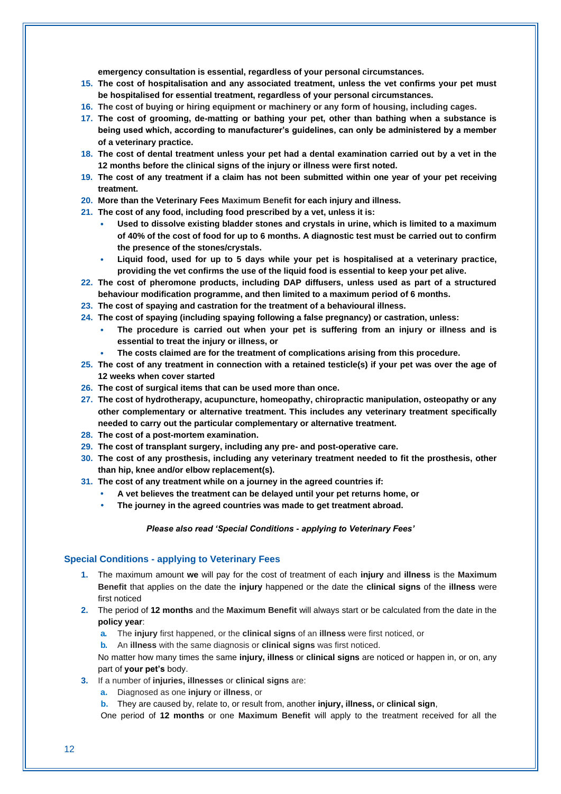**emergency consultation is essential, regardless of your personal circumstances.**

- **15. The cost of hospitalisation and any associated treatment, unless the vet confirms your pet must be hospitalised for essential treatment, regardless of your personal circumstances.**
- **16. The cost of buying or hiring equipment or machinery or any form of housing, including cages.**
- **17. The cost of grooming, de-matting or bathing your pet, other than bathing when a substance is being used which, according to manufacturer's guidelines, can only be administered by a member of a veterinary practice.**
- **18. The cost of dental treatment unless your pet had a dental examination carried out by a vet in the 12 months before the clinical signs of the injury or illness were first noted.**
- **19. The cost of any treatment if a claim has not been submitted within one year of your pet receiving treatment.**
- **20. More than the Veterinary Fees Maximum Benefit for each injury and illness.**
- **21. The cost of any food, including food prescribed by a vet, unless it is:**
	- **• Used to dissolve existing bladder stones and crystals in urine, which is limited to a maximum of 40% of the cost of food for up to 6 months. A diagnostic test must be carried out to confirm the presence of the stones/crystals.**
	- **• Liquid food, used for up to 5 days while your pet is hospitalised at a veterinary practice, providing the vet confirms the use of the liquid food is essential to keep your pet alive.**
- **22. The cost of pheromone products, including DAP diffusers, unless used as part of a structured behaviour modification programme, and then limited to a maximum period of 6 months.**
- **23. The cost of spaying and castration for the treatment of a behavioural illness.**
- **24. The cost of spaying (including spaying following a false pregnancy) or castration, unless:**
	- **• The procedure is carried out when your pet is suffering from an injury or illness and is essential to treat the injury or illness, or**
	- **• The costs claimed are for the treatment of complications arising from this procedure.**
- **25. The cost of any treatment in connection with a retained testicle(s) if your pet was over the age of 12 weeks when cover started**
- **26. The cost of surgical items that can be used more than once.**
- **27. The cost of hydrotherapy, acupuncture, homeopathy, chiropractic manipulation, osteopathy or any other complementary or alternative treatment. This includes any veterinary treatment specifically needed to carry out the particular complementary or alternative treatment.**
- **28. The cost of a post-mortem examination.**
- **29. The cost of transplant surgery, including any pre- and post-operative care.**
- **30. The cost of any prosthesis, including any veterinary treatment needed to fit the prosthesis, other than hip, knee and/or elbow replacement(s).**
- **31. The cost of any treatment while on a journey in the agreed countries if:**
	- **• A vet believes the treatment can be delayed until your pet returns home, or**
	- **• The journey in the agreed countries was made to get treatment abroad.**

#### *Please also read 'Special Conditions - applying to Veterinary Fees'*

#### **Special Conditions - applying to Veterinary Fees**

- **1.** The maximum amount **we** will pay for the cost of treatment of each **injury** and **illness** is the **Maximum Benefit** that applies on the date the **injury** happened or the date the **clinical signs** of the **illness** were first noticed
- **2.** The period of **12 months** and the **Maximum Benefit** will always start or be calculated from the date in the **policy year**:
	- **a.** The **injury** first happened, or the **clinical signs** of an **illness** were first noticed, or
	- **b.** An **illness** with the same diagnosis or **clinical signs** was first noticed.

No matter how many times the same **injury, illness** or **clinical signs** are noticed or happen in, or on, any part of **your pet's** body.

- **3.** If a number of **injuries, illnesses** or **clinical signs** are:
	- **a.** Diagnosed as one **injury** or **illness**, or
	- **b.** They are caused by, relate to, or result from, another **injury, illness,** or **clinical sign**,

One period of **12 months** or one **Maximum Benefit** will apply to the treatment received for all the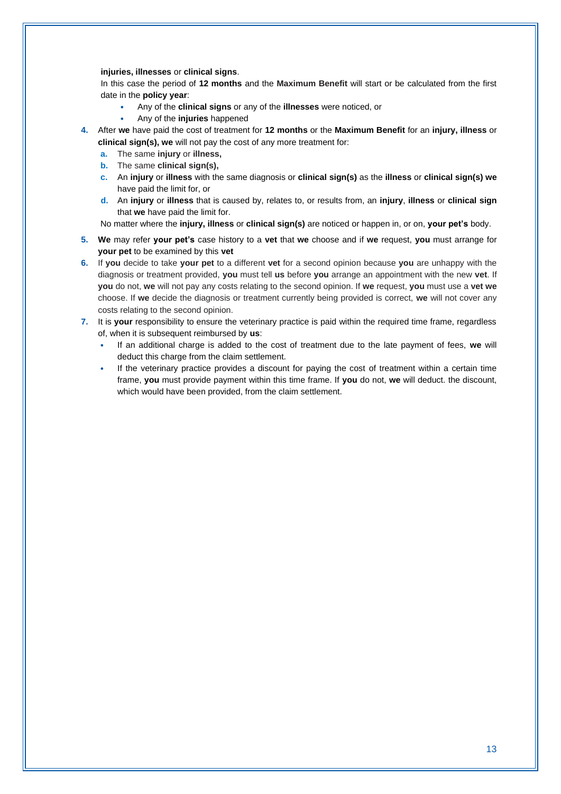#### **injuries, illnesses** or **clinical signs**.

In this case the period of **12 months** and the **Maximum Benefit** will start or be calculated from the first date in the **policy year**:

- **•** Any of the **clinical signs** or any of the **illnesses** were noticed, or
- **•** Any of the **injuries** happened
- **4.** After **we** have paid the cost of treatment for **12 months** or the **Maximum Benefit** for an **injury, illness** or **clinical sign(s), we** will not pay the cost of any more treatment for:
	- **a.** The same **injury** or **illness,**
	- **b.** The same **clinical sign(s),**
	- **c.** An **injury** or **illness** with the same diagnosis or **clinical sign(s)** as the **illness** or **clinical sign(s) we** have paid the limit for, or
	- **d.** An **injury** or **illness** that is caused by, relates to, or results from, an **injury**, **illness** or **clinical sign** that **we** have paid the limit for.

No matter where the **injury, illness** or **clinical sign(s)** are noticed or happen in, or on, **your pet's** body.

- **5. We** may refer **your pet's** case history to a **vet** that **we** choose and if **we** request, **you** must arrange for **your pet** to be examined by this **vet**
- **6.** If **you** decide to take **your pet** to a different **vet** for a second opinion because **you** are unhappy with the diagnosis or treatment provided, **you** must tell **us** before **you** arrange an appointment with the new **vet**. If **you** do not, **we** will not pay any costs relating to the second opinion. If **we** request, **you** must use a **vet we** choose. If **we** decide the diagnosis or treatment currently being provided is correct, **we** will not cover any costs relating to the second opinion.
- **7.** It is **your** responsibility to ensure the veterinary practice is paid within the required time frame, regardless of, when it is subsequent reimbursed by **us**:
	- **•** If an additional charge is added to the cost of treatment due to the late payment of fees, **we** will deduct this charge from the claim settlement.
	- **•** If the veterinary practice provides a discount for paying the cost of treatment within a certain time frame, **you** must provide payment within this time frame. If **you** do not, **we** will deduct. the discount, which would have been provided, from the claim settlement.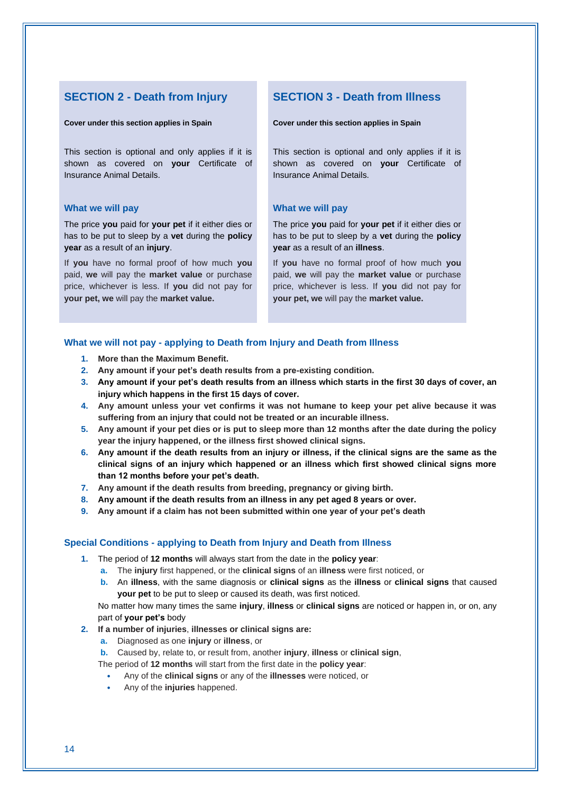#### **SECTION 2 - Death from Injury**

#### **Cover under this section applies in Spain**

This section is optional and only applies if it is shown as covered on **your** Certificate of Insurance Animal Details.

#### **What we will pay**

The price **you** paid for **your pet** if it either dies or has to be put to sleep by a **vet** during the **policy year** as a result of an **injury**.

If **you** have no formal proof of how much **you** paid, **we** will pay the **market value** or purchase price, whichever is less. If **you** did not pay for **your pet, we** will pay the **market value.**

### **SECTION 3 - Death from Illness**

**Cover under this section applies in Spain**

This section is optional and only applies if it is shown as covered on **your** Certificate of Insurance Animal Details.

#### **What we will pay**

The price **you** paid for **your pet** if it either dies or has to be put to sleep by a **vet** during the **policy year** as a result of an **illness**.

If **you** have no formal proof of how much **you** paid, **we** will pay the **market value** or purchase price, whichever is less. If **you** did not pay for **your pet, we** will pay the **market value.**

#### **What we will not pay - applying to Death from Injury and Death from Illness**

- **1. More than the Maximum Benefit.**
- **2. Any amount if your pet's death results from a pre-existing condition.**
- **3. Any amount if your pet's death results from an illness which starts in the first 30 days of cover, an injury which happens in the first 15 days of cover.**
- **4. Any amount unless your vet confirms it was not humane to keep your pet alive because it was suffering from an injury that could not be treated or an incurable illness.**
- **5. Any amount if your pet dies or is put to sleep more than 12 months after the date during the policy year the injury happened, or the illness first showed clinical signs.**
- **6. Any amount if the death results from an injury or illness, if the clinical signs are the same as the clinical signs of an injury which happened or an illness which first showed clinical signs more than 12 months before your pet's death.**
- **7. Any amount if the death results from breeding, pregnancy or giving birth.**
- **8. Any amount if the death results from an illness in any pet aged 8 years or over.**
- **9. Any amount if a claim has not been submitted within one year of your pet's death**

#### **Special Conditions - applying to Death from Injury and Death from Illness**

- **1.** The period of **12 months** will always start from the date in the **policy year**:
	- **a.** The **injury** first happened, or the **clinical signs** of an **illness** were first noticed, or
	- **b.** An **illness**, with the same diagnosis or **clinical signs** as the **illness** or **clinical signs** that caused **your pet** to be put to sleep or caused its death, was first noticed.

No matter how many times the same **injury**, **illness** or **clinical signs** are noticed or happen in, or on, any part of **your pet's** body

- **2. If a number of injuries**, **illnesses or clinical signs are:**
	- **a.** Diagnosed as one **injury** or **illness**, or
	- **b.** Caused by, relate to, or result from, another **injury**, **illness** or **clinical sign**,

The period of **12 months** will start from the first date in the **policy year**:

- **•** Any of the **clinical signs** or any of the **illnesses** were noticed, or
- **•** Any of the **injuries** happened.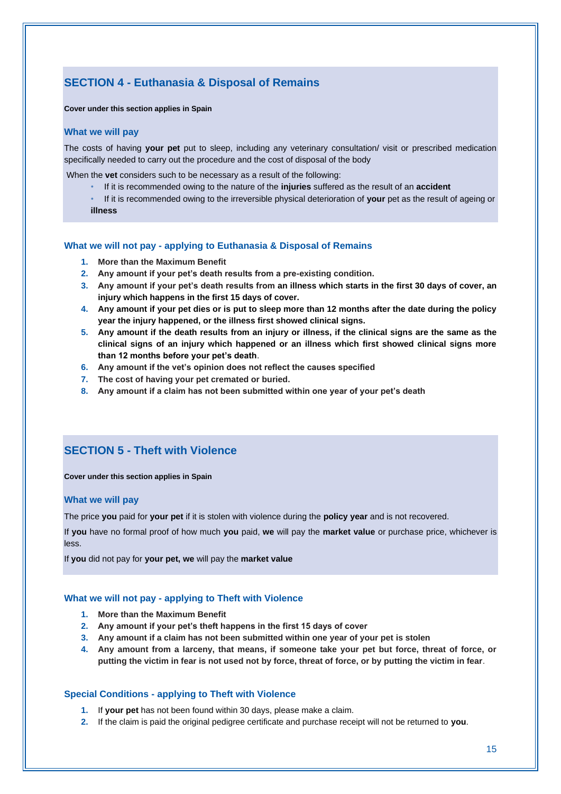## **SECTION 4 - Euthanasia & Disposal of Remains**

#### **Cover under this section applies in Spain**

#### **What we will pay**

The costs of having **your pet** put to sleep, including any veterinary consultation/ visit or prescribed medication specifically needed to carry out the procedure and the cost of disposal of the body

When the **vet** considers such to be necessary as a result of the following:

- If it is recommended owing to the nature of the **injuries** suffered as the result of an **accident**
- If it is recommended owing to the irreversible physical deterioration of **your** pet as the result of ageing or **illness**

#### **What we will not pay - applying to Euthanasia & Disposal of Remains**

- **1. More than the Maximum Benefit**
- **2. Any amount if your pet's death results from a pre-existing condition.**
- **3. Any amount if your pet's death results from an illness which starts in the first 30 days of cover, an injury which happens in the first 15 days of cover.**
- **4. Any amount if your pet dies or is put to sleep more than 12 months after the date during the policy year the injury happened, or the illness first showed clinical signs.**
- **5. Any amount if the death results from an injury or illness, if the clinical signs are the same as the clinical signs of an injury which happened or an illness which first showed clinical signs more than 12 months before your pet's death**.
- **6. Any amount if the vet's opinion does not reflect the causes specified**
- **7. The cost of having your pet cremated or buried.**
- **8. Any amount if a claim has not been submitted within one year of your pet's death**

#### **SECTION 5 - Theft with Violence**

#### **Cover under this section applies in Spain**

#### **What we will pay**

The price **you** paid for **your pet** if it is stolen with violence during the **policy year** and is not recovered.

If **you** have no formal proof of how much **you** paid, **we** will pay the **market value** or purchase price, whichever is less.

If **you** did not pay for **your pet, we** will pay the **market value**

#### **What we will not pay - applying to Theft with Violence**

- **1. More than the Maximum Benefit**
- **2. Any amount if your pet's theft happens in the first 15 days of cover**
- **3. Any amount if a claim has not been submitted within one year of your pet is stolen**
- **4. Any amount from a larceny, that means, if someone take your pet but force, threat of force, or putting the victim in fear is not used not by force, threat of force, or by putting the victim in fear**.

#### **Special Conditions - applying to Theft with Violence**

- **1.** If **your pet** has not been found within 30 days, please make a claim.
- **2.** If the claim is paid the original pedigree certificate and purchase receipt will not be returned to **you**.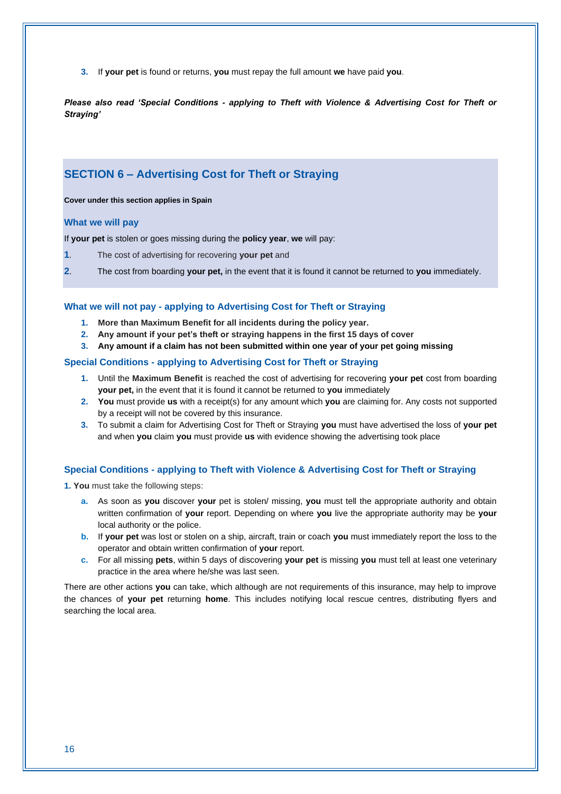**3.** If **your pet** is found or returns, **you** must repay the full amount **we** have paid **you**.

*Please also read 'Special Conditions - applying to Theft with Violence & Advertising Cost for Theft or Straying'*

#### **SECTION 6 – Advertising Cost for Theft or Straying**

**Cover under this section applies in Spain**

#### **What we will pay**

If **your pet** is stolen or goes missing during the **policy year**, **we** will pay:

- **1**. The cost of advertising for recovering **your pet** and
- **2**. The cost from boarding **your pet,** in the event that it is found it cannot be returned to **you** immediately.

#### **What we will not pay - applying to Advertising Cost for Theft or Straying**

- **1. More than Maximum Benefit for all incidents during the policy year.**
- **2. Any amount if your pet's theft or straying happens in the first 15 days of cover**
- **3. Any amount if a claim has not been submitted within one year of your pet going missing**

#### **Special Conditions - applying to Advertising Cost for Theft or Straying**

- **1.** Until the **Maximum Benefit** is reached the cost of advertising for recovering **your pet** cost from boarding **your pet,** in the event that it is found it cannot be returned to **you** immediately
- **2. You** must provide **us** with a receipt(s) for any amount which **you** are claiming for. Any costs not supported by a receipt will not be covered by this insurance.
- **3.** To submit a claim for Advertising Cost for Theft or Straying **you** must have advertised the loss of **your pet** and when **you** claim **you** must provide **us** with evidence showing the advertising took place

#### **Special Conditions - applying to Theft with Violence & Advertising Cost for Theft or Straying**

**1. You** must take the following steps:

- **a.** As soon as **you** discover **your** pet is stolen/ missing, **you** must tell the appropriate authority and obtain written confirmation of **your** report. Depending on where **you** live the appropriate authority may be **your** local authority or the police.
- **b.** If **your pet** was lost or stolen on a ship, aircraft, train or coach **you** must immediately report the loss to the operator and obtain written confirmation of **your** report.
- **c.** For all missing **pets**, within 5 days of discovering **your pet** is missing **you** must tell at least one veterinary practice in the area where he/she was last seen.

There are other actions **you** can take, which although are not requirements of this insurance, may help to improve the chances of **your pet** returning **home**. This includes notifying local rescue centres, distributing flyers and searching the local area.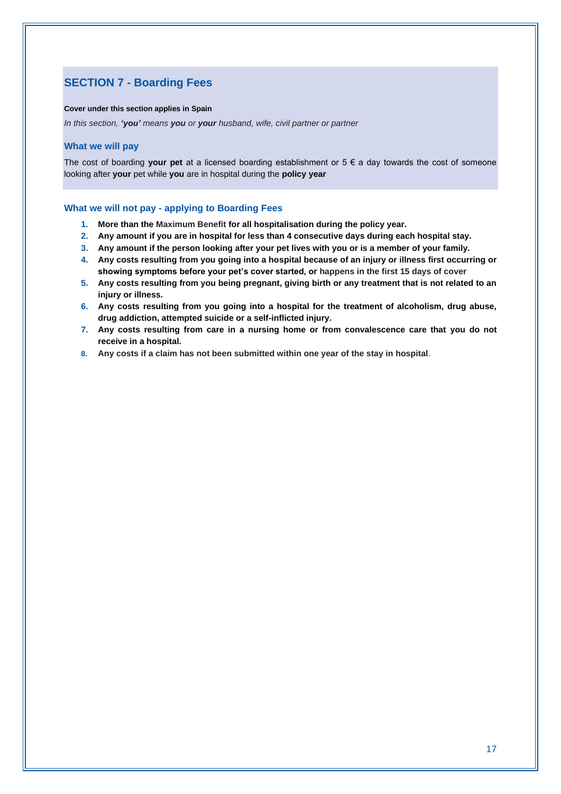## **SECTION 7 - Boarding Fees**

#### **Cover under this section applies in Spain**

*In this section, 'you' means you or your husband, wife, civil partner or partner*

#### **What we will pay**

The cost of boarding **your pet** at a licensed boarding establishment or 5 € a day towards the cost of someone looking after **your** pet while **you** are in hospital during the **policy year**

#### **What we will not pay - applying to Boarding Fees**

- **1. More than the Maximum Benefit for all hospitalisation during the policy year.**
- **2. Any amount if you are in hospital for less than 4 consecutive days during each hospital stay.**
- **3. Any amount if the person looking after your pet lives with you or is a member of your family.**
- **4. Any costs resulting from you going into a hospital because of an injury or illness first occurring or showing symptoms before your pet's cover started, or happens in the first 15 days of cover**
- **5. Any costs resulting from you being pregnant, giving birth or any treatment that is not related to an injury or illness.**
- **6. Any costs resulting from you going into a hospital for the treatment of alcoholism, drug abuse, drug addiction, attempted suicide or a self-inflicted injury.**
- **7. Any costs resulting from care in a nursing home or from convalescence care that you do not receive in a hospital.**
- **8. Any costs if a claim has not been submitted within one year of the stay in hospital**.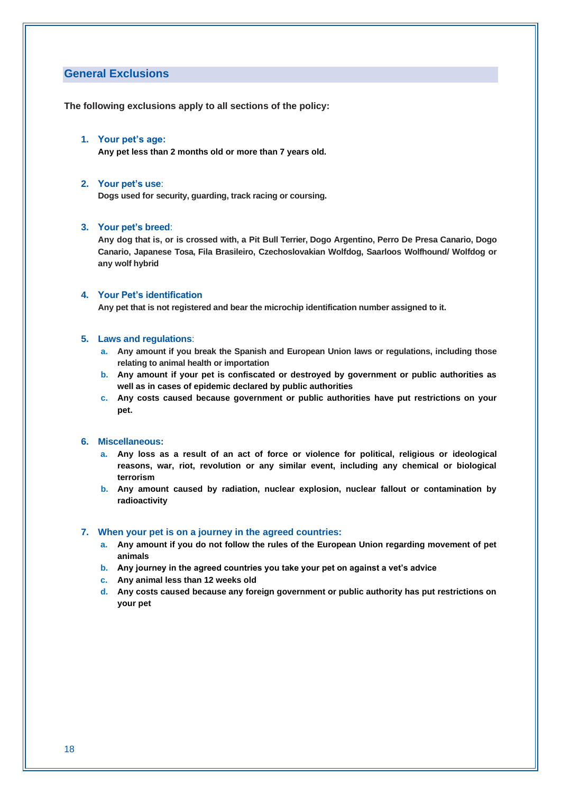#### **General Exclusions**

**The following exclusions apply to all sections of the policy:**

#### **1. Your pet's age:**

**Any pet less than 2 months old or more than 7 years old.**

#### **2. Your pet's use**:

**Dogs used for security, guarding, track racing or coursing.**

#### **3. Your pet's breed**:

**Any dog that is, or is crossed with, a Pit Bull Terrier, Dogo Argentino, Perro De Presa Canario, Dogo Canario, Japanese Tosa, Fila Brasileiro, Czechoslovakian Wolfdog, Saarloos Wolfhound/ Wolfdog or any wolf hybrid**

#### **4. Your Pet's identification**

**Any pet that is not registered and bear the microchip identification number assigned to it.**

#### **5. Laws and regulations**:

- **a. Any amount if you break the Spanish and European Union laws or regulations, including those relating to animal health or importation**
- **b. Any amount if your pet is confiscated or destroyed by government or public authorities as well as in cases of epidemic declared by public authorities**
- **c. Any costs caused because government or public authorities have put restrictions on your pet.**

#### **6. Miscellaneous:**

- **a. Any loss as a result of an act of force or violence for political, religious or ideological reasons, war, riot, revolution or any similar event, including any chemical or biological terrorism**
- **b. Any amount caused by radiation, nuclear explosion, nuclear fallout or contamination by radioactivity**

#### **7. When your pet is on a journey in the agreed countries:**

- **a. Any amount if you do not follow the rules of the European Union regarding movement of pet animals**
- **b. Any journey in the agreed countries you take your pet on against a vet's advice**
- **c. Any animal less than 12 weeks old**
- **d. Any costs caused because any foreign government or public authority has put restrictions on your pet**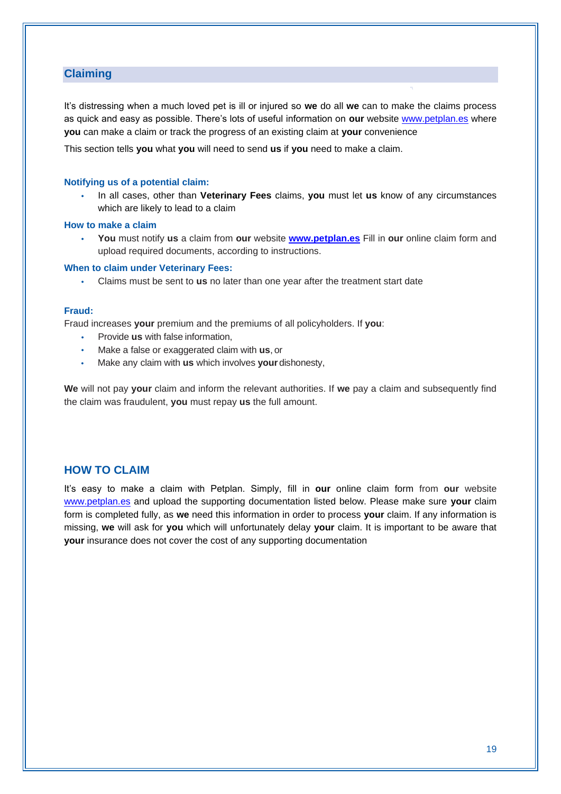#### **Claiming**

It's distressing when a much loved pet is ill or injured so **we** do all **we** can to make the claims process as quick and easy as possible. There's lots of useful information on **our** website [www.petplan.es](http://www.petplan.es/) where **you** can make a claim or track the progress of an existing claim at **your** convenience

This section tells **you** what **you** will need to send **us** if **you** need to make a claim.

#### **Notifying us of a potential claim:**

• In all cases, other than **Veterinary Fees** claims, **you** must let **us** know of any circumstances which are likely to lead to a claim

#### **How to make a claim**

• **You** must notify **us** a claim from **our** website **[www.petplan.es](http://www.petplan.es/)** Fill in **our** online claim form and upload required documents, according to instructions.

#### **When to claim under Veterinary Fees:**

• Claims must be sent to **us** no later than one year after the treatment start date

#### **Fraud:**

Fraud increases **your** premium and the premiums of all policyholders. If **you**:

- Provide **us** with false information,
- Make a false or exaggerated claim with **us**, or
- Make any claim with **us** which involves **your** dishonesty,

**We** will not pay **your** claim and inform the relevant authorities. If **we** pay a claim and subsequently find the claim was fraudulent, **you** must repay **us** the full amount.

#### **HOW TO CLAIM**

It's easy to make a claim with Petplan. Simply, fill in **our** online claim form from **our** website [www.petplan.es](http://www.petplan.es/) and upload the supporting documentation listed below. Please make sure **your** claim form is completed fully, as **we** need this information in order to process **your** claim. If any information is missing, **we** will ask for **you** which will unfortunately delay **your** claim. It is important to be aware that **your** insurance does not cover the cost of any supporting documentation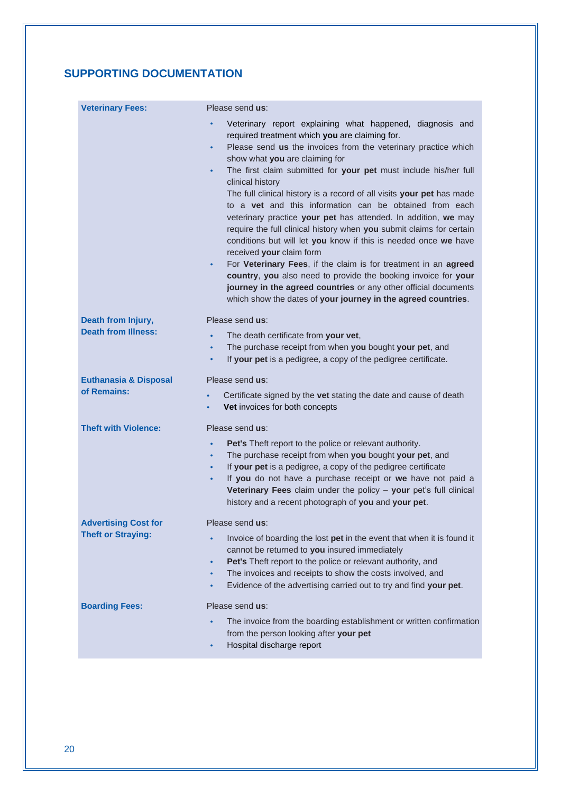## **SUPPORTING DOCUMENTATION**

| <b>Veterinary Fees:</b>          | Please send us:                                                                                                                                                                                                                                                                                                                                                                                                                                                                                                                                                                                                                                                                                                                                                                                                                                                                                                                                                                              |
|----------------------------------|----------------------------------------------------------------------------------------------------------------------------------------------------------------------------------------------------------------------------------------------------------------------------------------------------------------------------------------------------------------------------------------------------------------------------------------------------------------------------------------------------------------------------------------------------------------------------------------------------------------------------------------------------------------------------------------------------------------------------------------------------------------------------------------------------------------------------------------------------------------------------------------------------------------------------------------------------------------------------------------------|
|                                  | Veterinary report explaining what happened, diagnosis and<br>required treatment which you are claiming for.<br>Please send us the invoices from the veterinary practice which<br>$\bullet$<br>show what you are claiming for<br>The first claim submitted for your pet must include his/her full<br>$\bullet$<br>clinical history<br>The full clinical history is a record of all visits your pet has made<br>to a vet and this information can be obtained from each<br>veterinary practice your pet has attended. In addition, we may<br>require the full clinical history when you submit claims for certain<br>conditions but will let you know if this is needed once we have<br>received your claim form<br>For Veterinary Fees, if the claim is for treatment in an agreed<br>٠<br>country, you also need to provide the booking invoice for your<br>journey in the agreed countries or any other official documents<br>which show the dates of your journey in the agreed countries. |
| Death from Injury,               | Please send us:                                                                                                                                                                                                                                                                                                                                                                                                                                                                                                                                                                                                                                                                                                                                                                                                                                                                                                                                                                              |
| <b>Death from Illness:</b>       | The death certificate from your vet,<br>$\bullet$<br>The purchase receipt from when you bought your pet, and<br>$\bullet$<br>If your pet is a pedigree, a copy of the pedigree certificate.<br>٠                                                                                                                                                                                                                                                                                                                                                                                                                                                                                                                                                                                                                                                                                                                                                                                             |
| <b>Euthanasia &amp; Disposal</b> | Please send us:                                                                                                                                                                                                                                                                                                                                                                                                                                                                                                                                                                                                                                                                                                                                                                                                                                                                                                                                                                              |
| of Remains:                      | Certificate signed by the vet stating the date and cause of death<br>$\bullet$<br>Vet invoices for both concepts<br>$\bullet$                                                                                                                                                                                                                                                                                                                                                                                                                                                                                                                                                                                                                                                                                                                                                                                                                                                                |
| <b>Theft with Violence:</b>      | Please send us:                                                                                                                                                                                                                                                                                                                                                                                                                                                                                                                                                                                                                                                                                                                                                                                                                                                                                                                                                                              |
|                                  | Pet's Theft report to the police or relevant authority.<br>The purchase receipt from when you bought your pet, and<br>$\bullet$<br>If your pet is a pedigree, a copy of the pedigree certificate<br>$\bullet$<br>If you do not have a purchase receipt or we have not paid a<br>Veterinary Fees claim under the policy - your pet's full clinical<br>history and a recent photograph of you and your pet.                                                                                                                                                                                                                                                                                                                                                                                                                                                                                                                                                                                    |
| <b>Advertising Cost for</b>      | Please send us:                                                                                                                                                                                                                                                                                                                                                                                                                                                                                                                                                                                                                                                                                                                                                                                                                                                                                                                                                                              |
| <b>Theft or Straying:</b>        | Invoice of boarding the lost pet in the event that when it is found it<br>$\bullet$<br>cannot be returned to you insured immediately<br>Pet's Theft report to the police or relevant authority, and<br>٠<br>The invoices and receipts to show the costs involved, and<br>٠<br>Evidence of the advertising carried out to try and find your pet.<br>$\bullet$                                                                                                                                                                                                                                                                                                                                                                                                                                                                                                                                                                                                                                 |
| <b>Boarding Fees:</b>            | Please send us:                                                                                                                                                                                                                                                                                                                                                                                                                                                                                                                                                                                                                                                                                                                                                                                                                                                                                                                                                                              |
|                                  | The invoice from the boarding establishment or written confirmation<br>from the person looking after your pet<br>Hospital discharge report<br>٠                                                                                                                                                                                                                                                                                                                                                                                                                                                                                                                                                                                                                                                                                                                                                                                                                                              |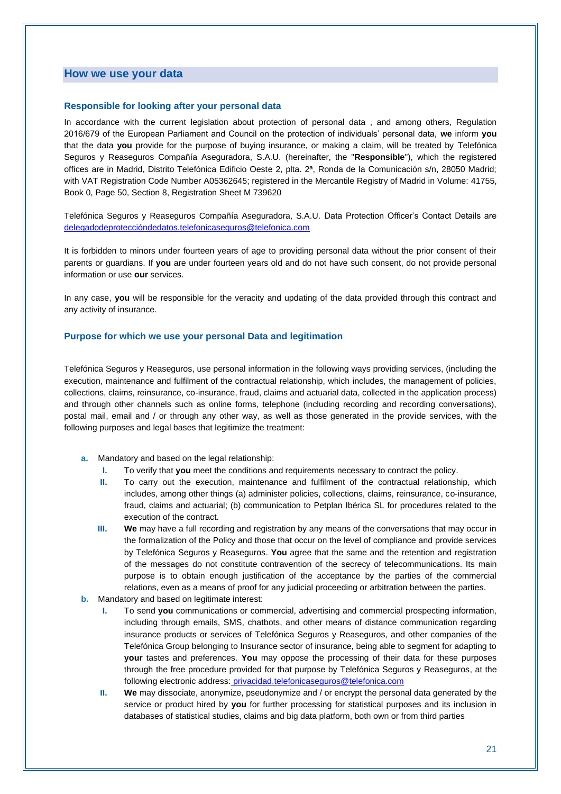#### **How we use your data**

#### **Responsible for looking after your personal data**

In accordance with the current legislation about protection of personal data , and among others, Regulation 2016/679 of the European Parliament and Council on the protection of individuals' personal data, **we** inform **you** that the data **you** provide for the purpose of buying insurance, or making a claim, will be treated by Telefónica Seguros y Reaseguros Compañía Aseguradora, S.A.U. (hereinafter, the "**Responsible**"), which the registered offices are in Madrid, Distrito Telefónica Edificio Oeste 2, plta. 2ª, Ronda de la Comunicación s/n, 28050 Madrid; with VAT Registration Code Number A05362645; registered in the Mercantile Registry of Madrid in Volume: 41755, Book 0, Page 50, Section 8, Registration Sheet M 739620

Telefónica Seguros y Reaseguros Compañía Aseguradora, S.A.U. Data Protection Officer's Contact Details are [delegadodeproteccióndedatos.telefonicaseguros@telefonica.com](mailto:delegadodeproteccióndedatos.telefonicaseguros@telefonica.com)

It is forbidden to minors under fourteen years of age to providing personal data without the prior consent of their parents or guardians. If **you** are under fourteen years old and do not have such consent, do not provide personal information or use **our** services.

In any case, **you** will be responsible for the veracity and updating of the data provided through this contract and any activity of insurance.

#### **Purpose for which we use your personal Data and legitimation**

Telefónica Seguros y Reaseguros, use personal information in the following ways providing services, (including the execution, maintenance and fulfilment of the contractual relationship, which includes, the management of policies, collections, claims, reinsurance, co-insurance, fraud, claims and actuarial data, collected in the application process) and through other channels such as online forms, telephone (including recording and recording conversations), postal mail, email and / or through any other way, as well as those generated in the provide services, with the following purposes and legal bases that legitimize the treatment:

- **a.** Mandatory and based on the legal relationship:
	- **I.** To verify that **you** meet the conditions and requirements necessary to contract the policy.
	- **II.** To carry out the execution, maintenance and fulfilment of the contractual relationship, which includes, among other things (a) administer policies, collections, claims, reinsurance, co-insurance, fraud, claims and actuarial; (b) communication to Petplan Ibérica SL for procedures related to the execution of the contract.
	- **III.** We may have a full recording and registration by any means of the conversations that may occur in the formalization of the Policy and those that occur on the level of compliance and provide services by Telefónica Seguros y Reaseguros. **You** agree that the same and the retention and registration of the messages do not constitute contravention of the secrecy of telecommunications. Its main purpose is to obtain enough justification of the acceptance by the parties of the commercial relations, even as a means of proof for any judicial proceeding or arbitration between the parties.
- **b.** Mandatory and based on legitimate interest:
	- **I.** To send **you** communications or commercial, advertising and commercial prospecting information, including through emails, SMS, chatbots, and other means of distance communication regarding insurance products or services of Telefónica Seguros y Reaseguros, and other companies of the Telefónica Group belonging to Insurance sector of insurance, being able to segment for adapting to **your** tastes and preferences. **You** may oppose the processing of their data for these purposes through the free procedure provided for that purpose by Telefónica Seguros y Reaseguros, at the following electronic address: [privacidad.telefonicaseguros@telefonica.com](mailto:privacidad.telefonicaseguros@telefonica.com)
	- **II. We** may dissociate, anonymize, pseudonymize and / or encrypt the personal data generated by the service or product hired by **you** for further processing for statistical purposes and its inclusion in databases of statistical studies, claims and big data platform, both own or from third parties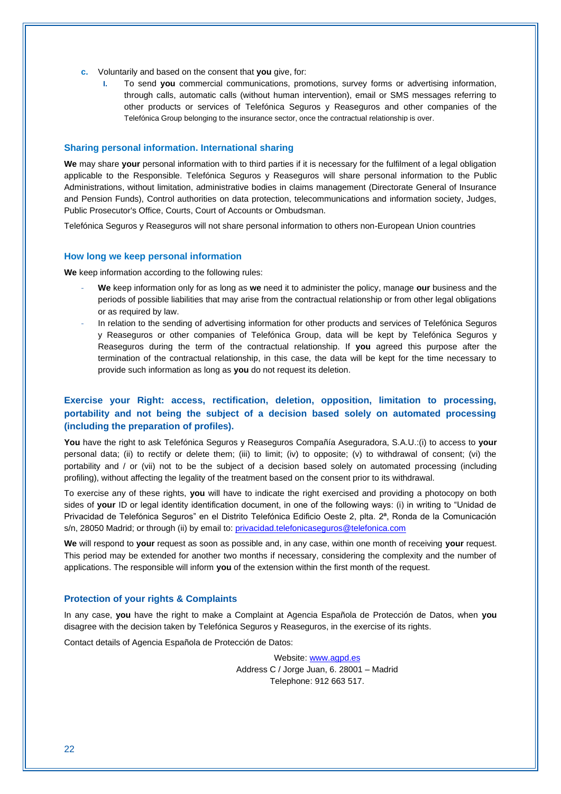- **c.** Voluntarily and based on the consent that **you** give, for:
	- **I.** To send **you** commercial communications, promotions, survey forms or advertising information, through calls, automatic calls (without human intervention), email or SMS messages referring to other products or services of Telefónica Seguros y Reaseguros and other companies of the Telefónica Group belonging to the insurance sector, once the contractual relationship is over.

#### **Sharing personal information. International sharing**

**We** may share **your** personal information with to third parties if it is necessary for the fulfilment of a legal obligation applicable to the Responsible. Telefónica Seguros y Reaseguros will share personal information to the Public Administrations, without limitation, administrative bodies in claims management (Directorate General of Insurance and Pension Funds), Control authorities on data protection, telecommunications and information society, Judges, Public Prosecutor's Office, Courts, Court of Accounts or Ombudsman.

Telefónica Seguros y Reaseguros will not share personal information to others non-European Union countries

#### **How long we keep personal information**

**We** keep information according to the following rules:

- **We** keep information only for as long as **we** need it to administer the policy, manage **our** business and the periods of possible liabilities that may arise from the contractual relationship or from other legal obligations or as required by law.
- In relation to the sending of advertising information for other products and services of Telefónica Seguros y Reaseguros or other companies of Telefónica Group, data will be kept by Telefónica Seguros y Reaseguros during the term of the contractual relationship. If **you** agreed this purpose after the termination of the contractual relationship, in this case, the data will be kept for the time necessary to provide such information as long as **you** do not request its deletion.

#### **Exercise your Right: access, rectification, deletion, opposition, limitation to processing, portability and not being the subject of a decision based solely on automated processing (including the preparation of profiles).**

**You** have the right to ask Telefónica Seguros y Reaseguros Compañía Aseguradora, S.A.U.:(i) to access to **your** personal data; (ii) to rectify or delete them; (iii) to limit; (iv) to opposite; (v) to withdrawal of consent; (vi) the portability and / or (vii) not to be the subject of a decision based solely on automated processing (including profiling), without affecting the legality of the treatment based on the consent prior to its withdrawal.

To exercise any of these rights, **you** will have to indicate the right exercised and providing a photocopy on both sides of **your** ID or legal identity identification document, in one of the following ways: (i) in writing to "Unidad de Privacidad de Telefónica Seguros" en el Distrito Telefónica Edificio Oeste 2, plta. 2ª, Ronda de la Comunicación s/n, 28050 Madrid; or through (ii) by email to[: privacidad.telefonicaseguros@telefonica.com](mailto:privacidad.telefonicaseguros@telefonica.com)

**We** will respond to **your** request as soon as possible and, in any case, within one month of receiving **your** request. This period may be extended for another two months if necessary, considering the complexity and the number of applications. The responsible will inform **you** of the extension within the first month of the request.

#### **Protection of your rights & Complaints**

In any case, **you** have the right to make a Complaint at Agencia Española de Protección de Datos, when **you** disagree with the decision taken by Telefónica Seguros y Reaseguros, in the exercise of its rights.

Contact details of Agencia Española de Protección de Datos:

Website[: www.agpd.es](http://www.agpd.es/) Address C / Jorge Juan, 6. 28001 – Madrid Telephone: 912 663 517.